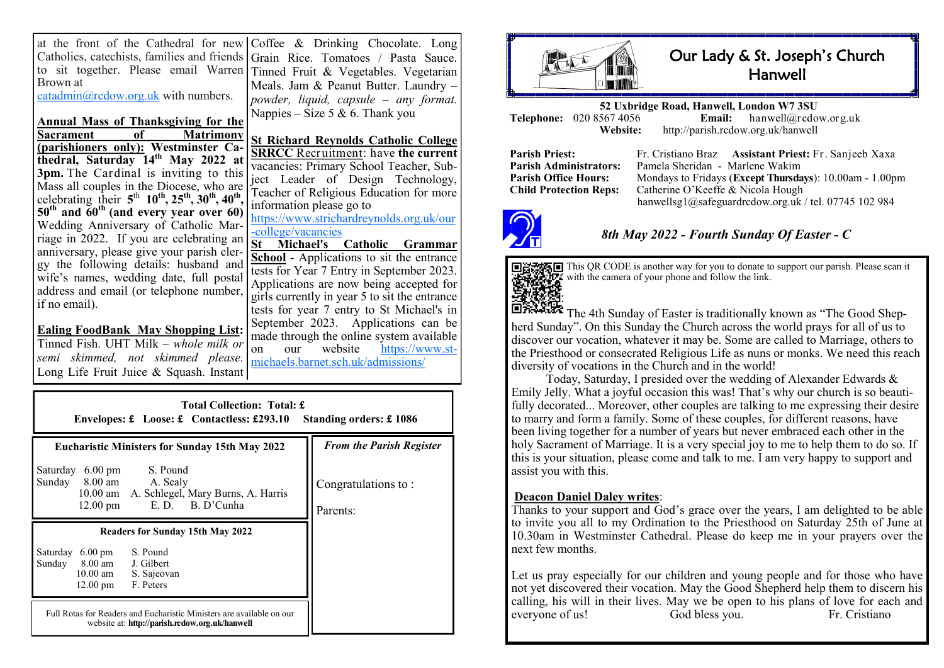at the front of the Cathedral for new Coffee & Drinking Chocolate. Long Catholics, catechists, families and friends to sit together. Please email Warren Tinned Fruit & Vegetables. Vegetarian Brown at [catadmin@rcdow.org.uk](mailto:catadmin@rcdow.org.uk) with numbers. Grain Rice. Tomatoes / Pasta Sauce. Meals. Jam & Peanut Butter. Laundry – *powder, liquid, capsule – any format.*

celebrating their **5** th **10th, 25th, 30th, 40th**

Wedding Anniversary of Catholic Marriage in 2022. If you are celebrating an anniversary, please give your parish clergy the following details: husband and wife's names, wedding date, full postal address and email (or telephone number,

**Ealing FoodBank May Shopping List:**  Tinned Fish. UHT Milk *– whole milk or semi skimmed, not skimmed please.*  Long Life Fruit Juice & Squash. Instant

if no email).

**Annual Mass of Thanksgiving for the**  Nappies – Size 5  $\&$  6. Thank you

**Matrimony (parishioners only): Westminster Cathedral, Saturday 14th May 2022 at 3pm.** The Cardinal is inviting to this Mass all couples in the Diocese, who are **, 50th and 60th (and every year over 60) St Richard Reynolds Catholic College SRRCC** Recruitment: have **the current**  vacancies: Primary School Teacher, Subject Leader of Design Technology, Teacher of Religious Education for more information please go to

[https://www.strichardreynolds.org.uk/our](https://www.strichardreynolds.org.uk/our-college/vacancies) -[college/vacancies](https://www.strichardreynolds.org.uk/our-college/vacancies)

**St Michael's Catholic Grammar School** - Applications to sit the entrance tests for Year 7 Entry in September 2023. Applications are now being accepted for girls currently in year 5 to sit the entrance tests for year 7 entry to St Michael's in September 2023. Applications can be made through the online system available<br>on our website  $\frac{https://www.st-1">https://www.st-1}$ on our website [https://www.st](https://www.st-michaels.barnet.sch.uk/admissions/admissions-2023-24/)[michaels.barnet.sch.uk/admissions/](https://www.st-michaels.barnet.sch.uk/admissions/admissions-2023-24/)

| <b>Total Collection: Total: £</b><br>Envelopes: £ Loose: £ Contactless: £293.10<br>Standing orders: £1086                                                          |                                 |  |  |  |
|--------------------------------------------------------------------------------------------------------------------------------------------------------------------|---------------------------------|--|--|--|
| <b>Eucharistic Ministers for Sunday 15th May 2022</b>                                                                                                              | <b>From the Parish Register</b> |  |  |  |
| S. Pound<br>Saturday<br>$6.00 \text{ pm}$<br>Sunday 8.00 am<br>A. Sealy<br>10.00 am A. Schlegel, Mary Burns, A. Harris<br>$E. D.$ B. D'Cunha<br>$12.00 \text{ pm}$ | Congratulations to:<br>Parents: |  |  |  |
| <b>Readers for Sunday 15th May 2022</b>                                                                                                                            |                                 |  |  |  |
| S. Pound<br>Saturday<br>$6.00 \text{ pm}$<br>8.00 am<br>J. Gilbert<br>Sunday<br>$10.00 \text{ am}$<br>S. Sajeovan<br>F. Peters<br>$12.00 \text{ pm}$               |                                 |  |  |  |
| Full Rotas for Readers and Eucharistic Ministers are available on our<br>website at: http://parish.rcdow.org.uk/hanwell                                            |                                 |  |  |  |



## Our Lady & St. Joseph's Church Hanwell

**52 Uxbridge Road, Hanwell, London W7 3SU Telephone:** 020 8567 4056<br>**Website: Website:** http://parish.rcdow.org.uk/hanwell

**Parish Priest:** Fr. Cristiano Braz **Assistant Priest:** Fr. Sanjeeb Xaxa **Parish Administrators:** Pamela Sheridan - Marlene Wakim **Parish Office Hours:** Mondays to Fridays (**Except Thursdays**): 10.00am - 1.00pm<br> **Child Protection Rens:** Catherine O'Keeffe & Nicola Hough Catherine O'Keeffe & Nicola Hough hanwellsg1@safeguardrcdow.org.uk / tel. 07745 102 984



## *8th May 2022 - Fourth Sunday Of Easter - C*



This QR CODE is another way for you to donate to support our parish. Please scan it with the camera of your phone and follow the link.

**The 4th Sunday of Easter is traditionally known as "The Good Shep**herd Sunday". On this Sunday the Church across the world prays for all of us to discover our vocation, whatever it may be. Some are called to Marriage, others to the Priesthood or consecrated Religious Life as nuns or monks. We need this reach diversity of vocations in the Church and in the world!

Today, Saturday, I presided over the wedding of Alexander Edwards & Emily Jelly. What a joyful occasion this was! That's why our church is so beautifully decorated... Moreover, other couples are talking to me expressing their desire to marry and form a family. Some of these couples, for different reasons, have been living together for a number of years but never embraced each other in the holy Sacrament of Marriage. It is a very special joy to me to help them to do so. If this is your situation, please come and talk to me. I am very happy to support and assist you with this.

## **Deacon Daniel Daley writes**:

Thanks to your support and God's grace over the years, I am delighted to be able to invite you all to my Ordination to the Priesthood on Saturday 25th of June at 10.30am in Westminster Cathedral. Please do keep me in your prayers over the next few months.

Let us pray especially for our children and young people and for those who have not yet discovered their vocation. May the Good Shepherd help them to discern his calling, his will in their lives. May we be open to his plans of love for each and everyone of us! God bless you. Fr. Cristiano everyone of us! God bless you. Fr. Cristiano